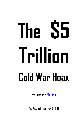# **The \$5 Trillion Cold War Hoax**

by Eustace [Mullins](http://www.whale.to/b/mullins_h.html)

The Phoenix Project May 21, 1996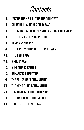Contents

- **I. "SCARE THE HELL OUT OF THE COUNTRY"**
- **II. CHURCHILL LAUNCHES COLD WAR**
- **III. THE CONVERSION OF SENATOR ARTHUR VANDENBERG**
- **IV. THE FLOOZIES OF WASHINGTON**
- **V. HARRIMAN'S REPLY**
- **VI. THE FIRST VICTIMS OF THE COLD WAR**
- **VII. THE EGGHEADS**
- **VIII. A PHONY WAR**
	- **IX. A METEORIC CAREER**
	- **X. REMARKABLE HERITAGE**
	- **XI. THE POLICY OF "CONTAINMENT"**
- **XII. THE MEN BEHIND CONTAINMENT**
- **XIII. TECHNIQUES OF THE COLD WAR**
- **XIV. THE CIA RIDES TO THE RESCUE**
- **XV. EFFECTS OF THE COLD WAR**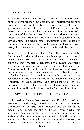#### **INTRODUCTION**

PT Barnum said it for all time, "There's a sucker born every minute." For more than four decades, the American people have been terrorized, not by a foreign threat, but by their own government. In order for the Federal Reserve System central bankers to continue to loot the nation after the successful conclusion of the I Second World War, they had to invent a new threat. The only candidate was our erstwhile gallant ally, the Soviet Union. The central bank conspirators faced the task of continuing to mobilize the people against a terrible threat, taxing them heavily in order to save them from destruction.

Today, we are burdened by a \$5 trillion national debt. Coincidentally, that is the sum we have spent on "national defense" since 1945. The World Order billionaires launched a complex, long-term plan to demonize Soviet Russia. Overnight, they would undergo a sea change, from the darlings of the American political Establishment to a dangerous and possibly overwhelming enemy. la my researches of more than fifty years, I finally located the smoking gun which exposed this conspiracy, a little known article in the August 1977 issue of American Heritage magazine, "Who Started the Cold War?" by historian Charles L. Mee Jr., editor of Horizon magazine, and author of one of the first cold war books, Meeting at Potsdam.

#### **I. "SCARE THE HELL OUT QF THE COUNTRY"**

In this article, Mee writes that on Feb. 27, 1947, "President Truman met with Congressional leaders in the White House. Undersecretary of State Dean Acheson was present at the meeting, and Truman had him tell the Congressmen what was at stake. Acheson spoke for ten minutes, informing the legislators that nothing less than the survival of the whole of Western civilization was in the balance at that moment; he worked in references to ancient Athens, Rome, and the course of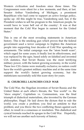Western civilization and freedom since those times. The Congressmen were silent for a few moments, and then, at last. Senator Arthur Vandenberg of Michigan, a prominent Republican who had come to support an active foreign policy, spoke up. All this might be true, Vandenberg said, but, if the President wishes to sell his program to the American people, he would have to 'scare hell out of the country'. It was at that moment that the Cold War began in earnest for the United States."

This is one of the most revealing statements in American history. This is the smoking gun which proves that the federal government used a terror campaign to frighten the American people into supporting four decades of Cold War spending on armaments. The initial campaign was the "atom bomb scare", which raged for some years; it finally lost its effectiveness, and was replaced by the ogre, based solely on falsified and invented CIA statistics, that Soviet Russia was the most terrifying military power, with the fastest growing economy, in the world. These two CIA claims were mutually exclusive; no nation could have the world's greatest military machine and at the same time support the world's fastest growing economy, but the statisticians successfully sold this scare story for years.

#### **II. CHURCHILL LAUNCHES COLD WAR**

The Cold War, the Hegelian invention of Soviet Russia and the United States at each other's throats, the "free world" vs. the "slave empire", Capitalism vs. Communism, was the final triumph of dialectical materialism, also invented by the German philosopher, Hegel. He laid down the dictum that to rule the world, you create a problem; you find an antidote to that problem; and you throw the two conflicting theses against each other, to result in a consensus or resolution. This diabolical and cynical formula reached its apogee in the Cold War. Hopefully, we will not see another such travesty of history.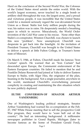Hard on the conclusion of the Second World War, the Colossus of the United States stood astride the entire world. With the world's largest economy, never touched by a single bomb or artillery shell throughout the war, the largest army, and a proud and victorious people, it was incredible that the United States could for a moment seriously regard the war-devastated Soviet Union as a threat. Stalin lost forty million people during the war; his nation was in rains. He desperately needed a breathing space in which to recover. Miraculously, the World Order invention of the Cold War came to his rescue. None other than Stalin's co-conspirator, Winston Churchill, was chosen to launch this new "problem".. Now unemployed, Churchill was desperate to get back into the limelight. At the invitation of President Truman, Churchill was brought to the United States to deliver a speech at little Fulton College, in Truman's home state of Missouri.

On March 5, 1946, at Fulton, Churchill made his famous "Iron Curtain" speech. He warned that an "Iron Curtain" had descended upon Europe, the Communist enslavement of the Eastern European countries. He failed to mention that he and Franklin Delano Roosevelt had joined at Yalta to deliver Eastern Europe to Stalin, with Alger Hiss, the originator of the plan, beaming in the background. Not a single journalist, anywhere in the world, mentioned Churchill's overwhelming personal complicity in creating and maintaining the dire situation which he now publicly deplored.

#### **III.THE CONVERSION OF SENATOR ARTHUR VANDENBERG**

One of Washington's leading political strategists, Senator Arthur Vandenberg had warned his co-conspirators at the Feb. 27, 1947 White House meeting that to sell the prospective Cold War program, they would have to "scare hell out of the country". He had an interesting background. A millionaire newspaper publisher in Grand Rapids, Michigan (later to become famous as the home of President Gerald Ford),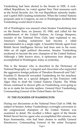Vandenberg had been elected to the Senate in 192S. A rockribbed Republican, he voted against New Deal measures such as the Social Security Act. He was Republican minority leader, and Capitol Hill's leading isolationist. When the United Nations proposal came to Congress, no one in Washington doubted that Vandenberg would shoot it down.

All of Washington was amazed when Senator Vandenberg rose on the Senate floor, on January 10, 194S, and called for the establishment of the United Nations. As George Stimpson, founder of the National Press Club, later explained to me, America's leading isolationist had become a rabid internationalist in a single night. A beautiful blonde agent from British Secret Intelligence Service had been sent to his room. After an all night political discussion, Senator Vandenberg awakened to become the new champion of the United Nations. Although a little known story, it epitomizes how things are accomplished in Washington, today as yesterday.

This is the Senator who is described in the Dictionary of National Biography as "a jingoist and chauvinist who supported the aggressive foreign policies of Theodore Roosevelt and Taft." Franklin D. Roosevelt rewarded Vandenberg for his treachery by sending him as a special delegate to San Francisco with Alger Hiss to draft the United Nations Charter. The White House continued to shower gifts on Vandenberg, even going so far as to make his favorite nephew. General Hoyt Vandenberg, Commanding General of the United States Air Force.

#### **IV.THE FLOOZIES OF WASHINGTON**

During our discussions at the National Press Club in 1948, the subject of Senator Arthur Vandenberg's overnight conversion to the congressional champion of the United Nations was examined in detail. We recalled a fellow agent of the blonde British Secret Service agent who accomplished this mission, one Kaye Summersby, who had been chosen to mollify General Eisenhower, Commanding General of the entire European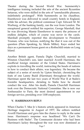Theater during the Second World War. Summersby's intelligence training included the arts of the ancient Byzantine hetaerae, who were skilled in the arts of "unendurable pleasure, indefinitely prolonged". With Summersby as his chauffeur, Eisenhower was delivered to small country hotels in England, while his adviser, the political commissar Capt. Edward M. M. Warburg, of the banking family, ran the war from London. The enraptured general notified his superior, George Marshall, that he was divorcing Mamie Eisenhower to marry the princess of endless delights, which of course was never in the cards. Marshall promptly reported this development to President Truman, who was furious, notifying Ike that it was out of the question (Plain Speaking, by Merle Miller). Kaye ended her days as a permanent house guest on a Rothschild estate on Long Island.

Another British agent, Pamela Digby Churchill, married to Winston Churchill's son, later married Averill Harriman, the unofficial foreign minister of the United States. Harriman's exploits in travelling the world, instructing the heads of nations in how to conduct their affairs, was legendary. He became the subject of a series of novels by Upton Sinclair, chronicling the feats of one Lanny Budd (Harriman) throughout the world. Harriman spent the last two years of World War II at Stalin's Kremlin headquarters, dictating to Stalin how he should conduct the war. After his death, Pamela Churchill Harriman took over the Democratic National Committee. She is now our Ambassador to Paris, the most desired appointment in our foreign service, presiding over 1100 employees.

#### **V. HARRIMAN'S REPLY**

When Charles T. Mee Jr.'s historic article appeared in American Heritage magazine in August of 1977, the editors notified Averill Harriman and gave him the chance to reply in the same issue. Harriman's response was headlined "We Can't Do Business with Stalin". The Communist dictator who had been Harriman's lackey throughout the war was now dismissed as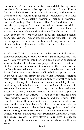uncooperative! Harriman recounts in great detail the repressive policies of Stalin towards the captive nations in Eastern Europe (policies which Harriman himself had initiated), and goes on to denounce Mee's astounding report as "revisionist". "Mr. Mee has made his own sketchy revision of standard revisionist doctrine," quoting Mee's statement that "the Cold War served everybody's purpose." Truman needed an excuse for deficit spending, because without it he could not have kept the American economy busy and productive. Thus he waged a Cold War, after the hot war was won, to justify continued deficit spending. With the Truman Doctrine and the Marshall Plan, the encouragement of American multinational companies, and a set of defense treaties that came finally to encompass the world, he institutionalized it."

As Charles T. Mee Jr. points out in his article, Stalin was a principal beneficiary of the Cold War. " Stalin needed the Cold War, not to venture out into the world again after an exhausting war, but to discipline his restless people at home. He had need of that ancient stratagem of monarchs the threat of an implacable external enemy to be used to unite his own people in Russia." Mee also names Winston Churchill as a prime suspect in the Cold War conspiracy. He states that Churchill "emerged from World War II with a ruined empire, irretrievably in debt, an empire losing its colonies and headed inevitably toward bankruptcy. Churchill's scheme for saving Great Britain was to arrange to have America and Russia quarrel, while America and Russia quarreled, England would as American diplomats delicately put it 'lead' Europe". As had been the case for some three hundred years, "leading" Europe and the United States meant that Great Britain would make frequent use of its secret weapon, the Secret Intelligence Service. Its powers included, as we have seen, reversing the entire foreign policy of the United States overnight, from isolationism to an abject embracing of the United Nations; making the most prominent American general and future President a "love slave" of a ruthless intelligence agent, and much, much more, most of which we shall never know.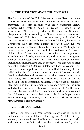#### **VI.THE FIRST VICTIMS OF THE COLD WAR**

The first victims of the Cold War were not soldiers; they were American politicians who were reluctant to embrace the new campaign. The first casualty was elder statesman Henry Stimson, who wrote a memo to President Truman in the autumn of 1945, cited by Mee as the cause of Stimson's disappearance from Washington. Stimson's memo denounced the projected Cold War as a serious error, and called for "satisfactory relations" with Russia. Henry Wallace, Secretary of Commerce, also protested against the Cold War, he was allowed to resign. Mee identifies the "comers" in Washington as those who were quick to latch onto the Cold War as "the wave of the future". Those who tended to believe in an aggressive attitude toward Russia, were spotted, and promoted young men such as John Foster Dulles and Dean Rusk. George Kennan, then in the American Embassy in Moscow, was discovered after he sent a perfervid 8,000 word telegram back to Washington. "We have here a political force committed fanatically to the belief that with U.S. there can be no permanent Modus Vivendi, that it is desirable and necessary that the internal harmony of our society be disrupted, our traditional way of life be destroyed, the international authority of our state be broken." Mee mentions that, in his memoirs, Kennan says that he now looks back on his cable 'with horrified amusement'. "At the time, however, he was ideal for Truman's use, and he was recalled from Moscow and made chairman of the State Department's Policy Planning Committee, or as the New York Times called him, 'America's global planner'."

#### **VII. THE EGGHEADS**

Critics of the new Cold War foreign policy quickly found a nickname for its architects, "the eggheads". Like George Kennan, they were liberal intellectuals, often prematurely bald, and unanimous in their dislike of the American people, whom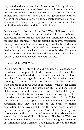they hated and feared, and their Constitution. Their goal, which they now seem to have achieved, was to liberate the federal government, which Thomas Jefferson and the other Founding Fathers had written to "bind down the government with the chains of the Constitution". While ostensibly following an "anti-Communist" policy, the eggheads never forswore their dedication to Marxism, and its monolithic state.

During the four decades of the Cold War, Hollywood, which never failed to bolster the goals of the Cold War architects, reserved its bitter scorn for "red-blooded Americans" who stood for flag and country. While forbearing from ever presenting lifelong Communists in a deprecating way, Hollywood made films deriding "anti-Communists" as flag-waving American Legion boobs, a stance which it continues to this day. If any one of the eggheads and their Hollywood lackeys were to be called a "patriot", they would be overcome with shame.

## **VIII. A PHONY WAR**

During most of its history, the Cold War was a propaganda war, in which the opponents hurled invectives at each other. However, the military-industrial complex cannot make billions of dollars from propaganda; there had to be occasions of real shooting. We endured the Korean War and the Vietnam War, with hundreds of thousands of casualties, while Soviet Russia did not lose a man in either war. Both Russia and the United States were careful to have the scenes of battle take place thousands of miles from their own lands, in poverty-stricken countries such as Korea and Vietnam. We had the Cuban missile crisis, a soap opera in which the media convinced Americans that they had been on the brink of atomic destruction, being saved just before the bombs were launched by the "incredible diplomatic skills" of John F. Kennedy and Khrushchev, neither of whom before or after this crisis had ever shown the slightest skill at diplomacy. The Berlin Wall was built, to prevent all of its population from fleeing the desolation of Communist East Germany. The eggheads greeted the Berlin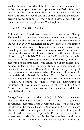Wall with praise. President John F. Kennedy made a special trip to Germany to put his seal of approval on the Berlin Wall, and to reassure the Communists that the United States would not remove it. And we never did. It was the Germans themselves, driven beyond endurance, who ripped it down, much to the consternation of our eggheads in Washington.

## **IX. A METEORIC CAREER**

Although few Americans recognize the name of **George Kennan**, he not only was the source of the nickname "egghead", he also was the bureaucrat entrusted with the maintenance of the Gold War in Washington for many years. He was named after his uncle, George Kennan, who spent many years travelling in Czarist Russia on "missionary work" for the world Communist movement. He was entrusted with many millions of dollars by **Jacob Schiff,** known as "A Prince in Israel", who was born in the Rothschild house in Frankfurt, and who, according to his grandson, John Schiff, had spent twenty-twomillion dollars of his, personal funds to bring about the Bolshevik Revolution in Russia. Most of this money was spent on revolutionary propaganda, which Kennan, with journalistic credentials, distributed throughout Russia. Some historians credit George Kennan as the pivotal force in the Bolshevik Revolution, pointing out that it was his distributing of thousands of revolutionary leaflets to officers in the Czar's Army which turned them against the regime and led to the downfall of the Czar.

George Kennan also worked with Jacob Schiff in financing Japan in the Russo-Japanese War of 1905. The Japanese government decorated Kennan with the Gold War Medal, and the Order of the Sacred Treasure. (The World Order, by Eustace Mullins, p. 64). Schiff instigated this war to strike a blow against the alleged oppression of Jews in Russia, and to create a governmental crisis by which the Communists could seize power. The "1905 Revolution" failed miserably; the Communists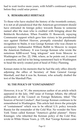had to wait twelve more years, with Schiff's continued support, before they could seize power.

# **X. REMARKABLE HERITAGE**

To those who have studied the history of the twentieth century, it is not at all paradoxical that the American government should have entrusted its foreign policy towards Russia to someone named after the man who is credited with bringing about the Bolshevik Revolution. When Franklin D. Roosevelt, repaying Communist support which gave him victory in his presidential race against Herbert Hoover, promptly extended diplomatic recognition to Stalin, it was George Kennan who was chosen to accompany Ambassador William Bullitt to Moscow to reopen the American Embassy. It was George Kennan who wrote the notorious 8,000-word "long telegram" sent from Moscow to Washington on Dec. 22, 1946, where, as he points out, it caused a sensation, and led to his being summoned back to Washington to head the newly created post of head of Policy Planning.

Kennan states in his memoirs that he had the only office directly adjoining the office of Secretary of State General George Marshall, and that it was lie, Kennan, who actually drafted the text of the Marshall Plan.

# **XI. THE POLICY OF "CONTAINMENT"**

However, it is as "X", the anonymous author of an article which appeared in the July, 1947 issue of Foreign Affairs, the official publication of the Council on Foreign Relations, titled "The Sources of Soviet Conduct", that George Kennan continues to be remembered in Washington. This article laid down the principle of "containment" which was to be official U.S. policy towards Russia for the remainder of the Cold War. No wonder the New York Times called Kennan "America's global planner". Henry Kissinger, who inherited the Kennan policy of the Cold War, wrote in White House Years, p. 135, that "George Kennan came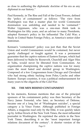as close to authoring the diplomatic doctrine of his era as any diplomat in our history."

Paul Kennedy, in The Rise and Fall of the Great Powers, defined the "policy of containment" as follows: "The view from Washington was that a master plan for world Communist domination was unfolding and needed to be 'contained'." Walter Lippmann, who was a one-man think tank in Washington for fifty years, and an adviser to many Presidents, adopted Kennan's policy in his influential The Cold War; a Study in United States Foreign Policy, as America's senior elder statesman.

Kennan's "containment'' policy was just that; that the Soviet Union and world Communism would be contained, but never openly challenged or fought against. It was a permanent guarantee that the captive nations of Eastern Europe, which had been delivered to Stalin by Roosevelt, Churchill and Alger Hiss at Yalta, would never be liberated from Communism. An organization championing the captive nations was for many years the most hated and derided group in Washington, Composed of a few Congressmen from Chicago and Cleveland who had strong ethnic backing from Poles, Czechs and other Eastern Europe countries, it was a political embarrassment for many years to the oligarchs of the Cold War.

#### **XII. THE MEN BEHIND CONTAINMENT**

In his memoirs, Kennan mentions that one of the principal sponsors of his containment policy was then Secretary of the Navy James Forrestal, who later, as Secretary of Defense, became one of a long list of "Washington suicides", a special category a la Vince Foster. Although published in Foreign Affairs, a magazine read only by the Elite, it was quickly taken up by Arthur Krock of the New York Times, the most influential journalist in Washington. He reprinted the article in the New York Times, describing it as the "most important foreign relations document of the century". A shorter version of the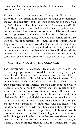containment article was then published in Life magazine. It had now inundated the country.

Kennan states in his memoirs, "I emphatically deny the paternity of any efforts to invoke the doctrine of containment today." He downplays both the "long telegram" and the article by "X", claiming that they have been "misunderstood". He modestly ignores the fact that he laid down the policy which our government has followed for forty years. His reward was a post as professor at the elite think tank in Princeton, the Institute for Advanced Study, where he has worked since 1950, with interim appointments as Ambassador to Russia and to Yugoslavia. He also was awarded the Albert Einstein Peace Prize, presumably for avoiding a Third World War by his policy of containment (my studies have shown that a Third World War between Russia and the United States was never seriously considered by anyone in authority). It was only a "War Game".

#### **XIII. TECHNIQUES OF THE COLD WAR**

The government propaganda techniques by which the American people were terrorized for some forty years began with the dire threat of nuclear annihilation. School children went through daily drills of falling to the floor in terror of the atomic bomb which would destroy their school. Their parents built backyard "bomb shelters" stocked with food and water. Because "scientific studies" showed that the radiation peril would last for at least five hundred years, the survivors apparently expected to spend that much time in their shelters. Nationwide philosophical debates ensued as to whether the survivors, huddled in their shelters after the blast, should open the door to neighbors or to "minorities" who had neglected to build bomb shelters, or whether they should shoot those who battered down the doors to get food. Hollywood loyally produced many movies about the coming atomic debacle, such as Dr. Strangelove, in which insane fascists were determined to use the bomb to destroy the civilized world; War Games, in which a mad computer tried to trick the United States and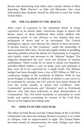Russia into destroying each other; and a steady stream of films depicting "Bette Davises" as little old librarians who were determined that students should be allowed to read the works of Karl Marx.

## **XIV. THE CIA RIDES TO THE RESCUE**

After years of exposure to the imminent threat of being vaporized in an atomic blast, Americans began to ignore the threat; many of them bulldozed their bomb shelters into swimming pools. It was obvious to our masters that new techniques of terror had to be developed. The Central Intelligence Agency now became the vehicle of mass terrorism. It became known as "the Company" under the leadership of stock promoter Bill Casey. He became highly skilled at peddling alarming statistics about the threat of Communism to Congress, who hastily voted vast increases in the "defense" budget. The oligarchs abandoned the now worn out doctrine of nuclear annihilation. There would be no need to spend two-hundredand-fifty-billion dollars a year on tanks, guns and airplanes if they were all to be vaporized by a single bomb. The defense budget had been brought from a low of \$13 billion in 1947 to a continuous budget in the hundreds of billions. With its top secret budget of hundreds of millions of dollars a year, never to be examined by anyone, the CIA sent its own James Bonds all over the world usually to attack and overthrow "anti-Communist" governments and "dictators" such as Ferdinand Marcos, who had been indiscreet in their denunciations of Communism. The CIA hired hundreds of journalists to write books and articles promoting its version of the Cold War, always at the highest prevailing rates.

#### **XV. EFFECTS OF THE COLD WAR**

The effect on both Russia and the United States of the Cold War conspirators has been devastating. Russia's economy is in a state of collapse, with no improvement in sight. The United States has been looted; its infrastructure, its roads, bridges and other